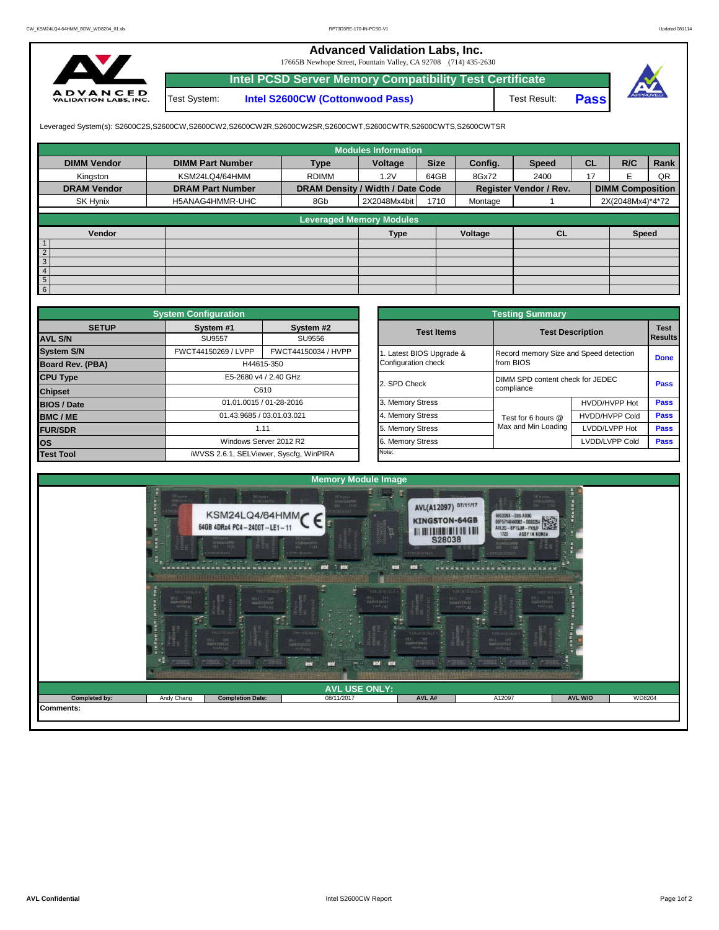## **Advanced Validation Labs, Inc.**

17665B Newhope Street, Fountain Valley, CA 92708 (714) 435-2630



Test System: **Intel S2600CW (Cottonwood Pass) Intel PCSD Server Memory Compatibility Test Certificate**

Test Result: **Pass**



Leveraged System(s): S2600C2S,S2600CW,S2600CW2,S2600CW2R,S2600CW2SR,S2600CWT,S2600CWTR,S2600CWTS,S2600CWTSR

|                    |                         |                                  | <b>Modules Information</b>      |             |         |                               |           |                         |      |
|--------------------|-------------------------|----------------------------------|---------------------------------|-------------|---------|-------------------------------|-----------|-------------------------|------|
| <b>DIMM Vendor</b> | <b>DIMM Part Number</b> | <b>Type</b>                      | Voltage                         | <b>Size</b> | Config. | <b>Speed</b>                  | <b>CL</b> | R/C                     | Rank |
| Kingston           | KSM24LQ4/64HMM          | <b>RDIMM</b>                     | 1.2V                            | 64GB        | 8Gx72   | 2400                          | 17        |                         | QR   |
| <b>DRAM Vendor</b> | <b>DRAM Part Number</b> | DRAM Density / Width / Date Code |                                 |             |         | <b>Register Vendor / Rev.</b> |           | <b>DIMM Composition</b> |      |
| SK Hynix           | H5ANAG4HMMR-UHC         | 8Gb                              | 2X2048Mx4bit                    | 1710        | Montage |                               |           | 2X(2048Mx4)*4*72        |      |
|                    |                         |                                  | <b>Leveraged Memory Modules</b> |             |         |                               |           |                         |      |
|                    |                         |                                  |                                 |             |         |                               |           |                         |      |
| Vendor             |                         |                                  | <b>Type</b>                     |             | Voltage | <b>CL</b>                     |           | Speed                   |      |
|                    |                         |                                  |                                 |             |         |                               |           |                         |      |
| $\overline{2}$     |                         |                                  |                                 |             |         |                               |           |                         |      |
| 3                  |                         |                                  |                                 |             |         |                               |           |                         |      |
| 4                  |                         |                                  |                                 |             |         |                               |           |                         |      |
| $5\overline{)}$    |                         |                                  |                                 |             |         |                               |           |                         |      |
| 6                  |                         |                                  |                                 |             |         |                               |           |                         |      |

|                                | <b>System Configuration</b> |                                         | <b>Testing Summary</b> |                     |                                                |                               |  |  |  |  |  |
|--------------------------------|-----------------------------|-----------------------------------------|------------------------|---------------------|------------------------------------------------|-------------------------------|--|--|--|--|--|
| <b>SETUP</b><br><b>AVL S/N</b> | System #1<br>SU9557         | System #2<br>SU9556                     | <b>Test Items</b>      |                     | <b>Test Description</b>                        | <b>Test</b><br><b>Results</b> |  |  |  |  |  |
| <b>System S/N</b>              | FWCT44150269 / LVPP         | FWCT44150034 / HVPP                     | Latest BIOS Upgrade &  |                     | Record memory Size and Speed detection         |                               |  |  |  |  |  |
| <b>Board Rev. (PBA)</b>        |                             | H44615-350                              | Configuration check    | from BIOS           |                                                | <b>Done</b>                   |  |  |  |  |  |
| <b>CPU Type</b>                |                             | E5-2680 v4 / 2.40 GHz                   | 2. SPD Check           |                     | DIMM SPD content check for JEDEC<br>compliance |                               |  |  |  |  |  |
| <b>Chipset</b>                 |                             | C610                                    |                        |                     |                                                |                               |  |  |  |  |  |
| <b>BIOS / Date</b>             |                             | 01.01.0015 / 01-28-2016                 | 3. Memory Stress       |                     | HVDD/HVPP Hot                                  | Pass                          |  |  |  |  |  |
| <b>BMC/ME</b>                  |                             | 01.43.9685 / 03.01.03.021               | 4. Memory Stress       | Test for 6 hours @  | <b>HVDD/HVPP Cold</b>                          | <b>Pass</b>                   |  |  |  |  |  |
| <b>FUR/SDR</b>                 |                             | 1.11                                    | 5. Memory Stress       | Max and Min Loading | LVDD/LVPP Hot                                  | <b>Pass</b>                   |  |  |  |  |  |
| <b>los</b>                     |                             | Windows Server 2012 R2                  | 6. Memory Stress       |                     | LVDD/LVPP Cold                                 | <b>Pass</b>                   |  |  |  |  |  |
| <b>Test Tool</b>               |                             | iWVSS 2.6.1, SELViewer, Syscfq, WinPIRA | Note:                  |                     |                                                |                               |  |  |  |  |  |

|              | <b>System Configuration</b> |                                         | <b>Testing Summary</b> |                                        |                       |                               |  |  |  |  |  |
|--------------|-----------------------------|-----------------------------------------|------------------------|----------------------------------------|-----------------------|-------------------------------|--|--|--|--|--|
| <b>SETUP</b> | System #1                   | System #2                               | <b>Test Items</b>      | <b>Test Description</b>                |                       | <b>Test</b><br><b>Results</b> |  |  |  |  |  |
|              | <b>SU9557</b>               | SU9556                                  |                        |                                        |                       |                               |  |  |  |  |  |
|              | FWCT44150269 / LVPP         | FWCT44150034 / HVPP                     | Latest BIOS Upgrade &  | Record memory Size and Speed detection |                       |                               |  |  |  |  |  |
| PBA)         |                             | H44615-350                              | Configuration check    | from BIOS                              | <b>Done</b>           |                               |  |  |  |  |  |
|              |                             | E5-2680 v4 / 2.40 GHz                   | 2. SPD Check           | DIMM SPD content check for JEDEC       | Pass                  |                               |  |  |  |  |  |
|              |                             | C610                                    |                        | compliance                             |                       |                               |  |  |  |  |  |
|              |                             | 01.01.0015 / 01-28-2016                 | 3. Memory Stress       |                                        | HVDD/HVPP Hot         | Pass                          |  |  |  |  |  |
|              | 01.43.9685 / 03.01.03.021   |                                         | 4. Memory Stress       | Test for 6 hours @                     | <b>HVDD/HVPP Cold</b> | Pass                          |  |  |  |  |  |
|              |                             | 1.11                                    | 5. Memory Stress       | Max and Min Loading                    | LVDD/LVPP Hot         | Pass                          |  |  |  |  |  |
|              |                             | Windows Server 2012 R2                  | 6. Memory Stress       |                                        | LVDD/LVPP Cold        | Pass                          |  |  |  |  |  |
|              |                             | iWVSS 2.6.1, SELViewer, Syscfq, WinPIRA | Note:                  |                                        |                       |                               |  |  |  |  |  |